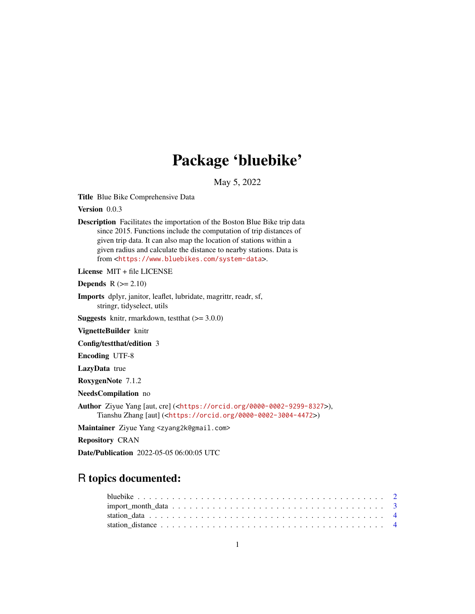## Package 'bluebike'

May 5, 2022

Title Blue Bike Comprehensive Data

Version 0.0.3

Description Facilitates the importation of the Boston Blue Bike trip data since 2015. Functions include the computation of trip distances of given trip data. It can also map the location of stations within a given radius and calculate the distance to nearby stations. Data is from <<https://www.bluebikes.com/system-data>>.

License MIT + file LICENSE

**Depends**  $R$  ( $>= 2.10$ )

Imports dplyr, janitor, leaflet, lubridate, magrittr, readr, sf, stringr, tidyselect, utils

**Suggests** knitr, rmarkdown, test that  $(>= 3.0.0)$ 

VignetteBuilder knitr

Config/testthat/edition 3

Encoding UTF-8

LazyData true

RoxygenNote 7.1.2

NeedsCompilation no

Author Ziyue Yang [aut, cre] (<<https://orcid.org/0000-0002-9299-8327>>), Tianshu Zhang [aut] (<<https://orcid.org/0000-0002-3004-4472>>)

Maintainer Ziyue Yang <zyang2k@gmail.com>

Repository CRAN

Date/Publication 2022-05-05 06:00:05 UTC

### R topics documented:

| station distance $\ldots$ , $\ldots$ , $\ldots$ , $\ldots$ , $\ldots$ , $\ldots$ , $\ldots$ , $\ldots$ , $\ldots$ , $\ldots$ , $\ldots$ , $\downarrow$ |  |  |  |  |  |  |  |  |  |  |  |  |  |  |  |  |  |  |  |
|--------------------------------------------------------------------------------------------------------------------------------------------------------|--|--|--|--|--|--|--|--|--|--|--|--|--|--|--|--|--|--|--|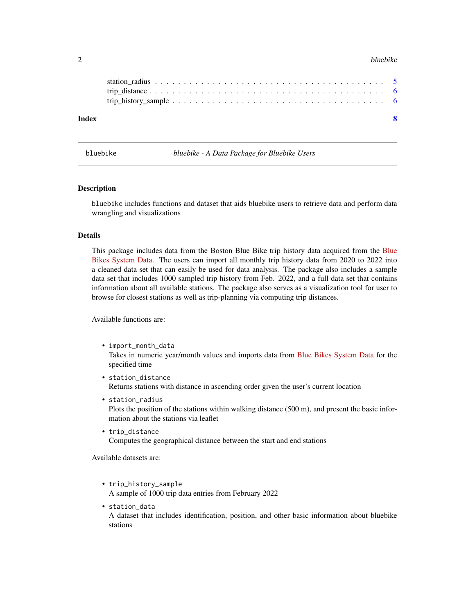#### <span id="page-1-0"></span>2 bluebike

| Index |  |
|-------|--|
|       |  |
|       |  |

bluebike *bluebike - A Data Package for Bluebike Users*

#### Description

bluebike includes functions and dataset that aids bluebike users to retrieve data and perform data wrangling and visualizations

#### Details

This package includes data from the Boston Blue Bike trip history data acquired from the [Blue](https://www.bluebikes.com/system-data) [Bikes System Data.](https://www.bluebikes.com/system-data) The users can import all monthly trip history data from 2020 to 2022 into a cleaned data set that can easily be used for data analysis. The package also includes a sample data set that includes 1000 sampled trip history from Feb. 2022, and a full data set that contains information about all available stations. The package also serves as a visualization tool for user to browse for closest stations as well as trip-planning via computing trip distances.

Available functions are:

- import\_month\_data Takes in numeric year/month values and imports data from [Blue Bikes System Data](https://www.bluebikes.com/system-data) for the specified time
- station\_distance Returns stations with distance in ascending order given the user's current location
- station\_radius Plots the position of the stations within walking distance (500 m), and present the basic information about the stations via leaflet
- trip\_distance Computes the geographical distance between the start and end stations

Available datasets are:

- trip\_history\_sample A sample of 1000 trip data entries from February 2022
- station\_data

A dataset that includes identification, position, and other basic information about bluebike stations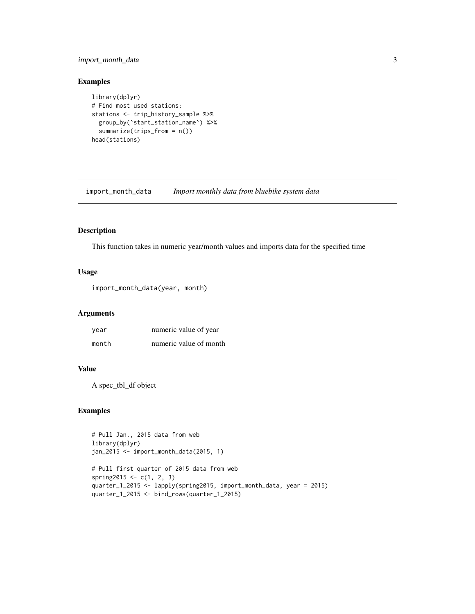#### <span id="page-2-0"></span>import\_month\_data 3

#### Examples

```
library(dplyr)
# Find most used stations:
stations <- trip_history_sample %>%
  group_by(`start_station_name`) %>%
  summarize(trips_from = n())
head(stations)
```
import\_month\_data *Import monthly data from bluebike system data*

#### Description

This function takes in numeric year/month values and imports data for the specified time

#### Usage

```
import_month_data(year, month)
```
#### Arguments

| year  | numeric value of year  |
|-------|------------------------|
| month | numeric value of month |

#### Value

A spec\_tbl\_df object

#### Examples

```
# Pull Jan., 2015 data from web
library(dplyr)
jan_2015 <- import_month_data(2015, 1)
```

```
# Pull first quarter of 2015 data from web
spring2015 <- c(1, 2, 3)quarter_1_2015 <- lapply(spring2015, import_month_data, year = 2015)
quarter_1_2015 <- bind_rows(quarter_1_2015)
```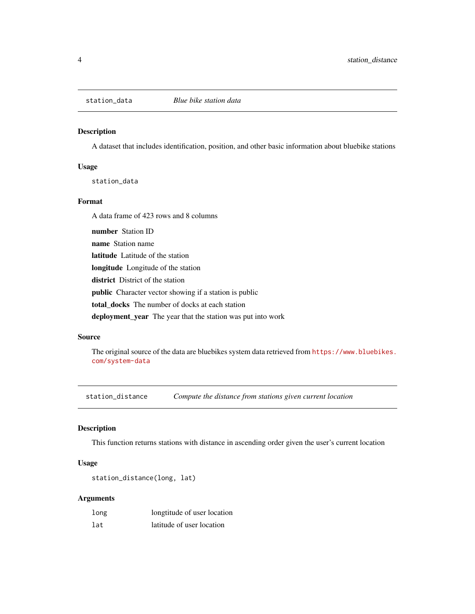<span id="page-3-0"></span>

#### Description

A dataset that includes identification, position, and other basic information about bluebike stations

#### Usage

station\_data

#### Format

A data frame of 423 rows and 8 columns

number Station ID name Station name latitude Latitude of the station longitude Longitude of the station district District of the station public Character vector showing if a station is public total\_docks The number of docks at each station

deployment\_year The year that the station was put into work

#### Source

The original source of the data are bluebikes system data retrieved from [https://www.bluebikes.](https://www.bluebikes.com/system-data) [com/system-data](https://www.bluebikes.com/system-data)

station\_distance *Compute the distance from stations given current location*

#### Description

This function returns stations with distance in ascending order given the user's current location

#### Usage

```
station_distance(long, lat)
```
#### Arguments

| long | longtitude of user location |
|------|-----------------------------|
| lat  | latitude of user location   |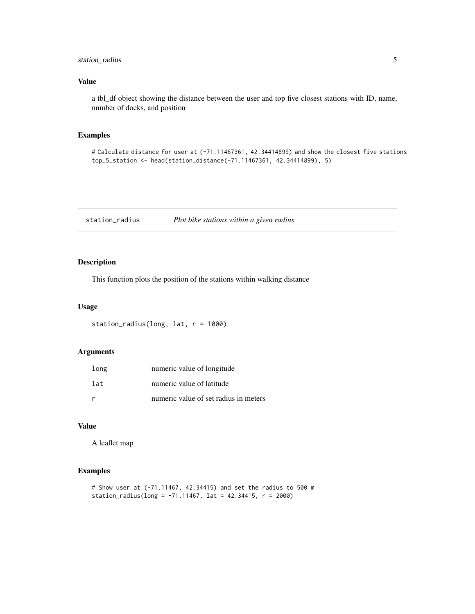#### <span id="page-4-0"></span>station\_radius 5

#### Value

a tbl\_df object showing the distance between the user and top five closest stations with ID, name, number of docks, and position

#### Examples

# Calculate distance for user at (-71.11467361, 42.34414899) and show the closest five stations top\_5\_station <- head(station\_distance(-71.11467361, 42.34414899), 5)

station\_radius *Plot bike stations within a given radius*

#### Description

This function plots the position of the stations within walking distance

#### Usage

```
station_radius(long, lat, r = 1000)
```
#### Arguments

| long | numeric value of longitude            |
|------|---------------------------------------|
| lat  | numeric value of latitude             |
|      | numeric value of set radius in meters |

#### Value

A leaflet map

#### Examples

```
# Show user at (-71.11467, 42.34415) and set the radius to 500 m
station_radius(long = -71.11467, lat = 42.34415, r = 2000)
```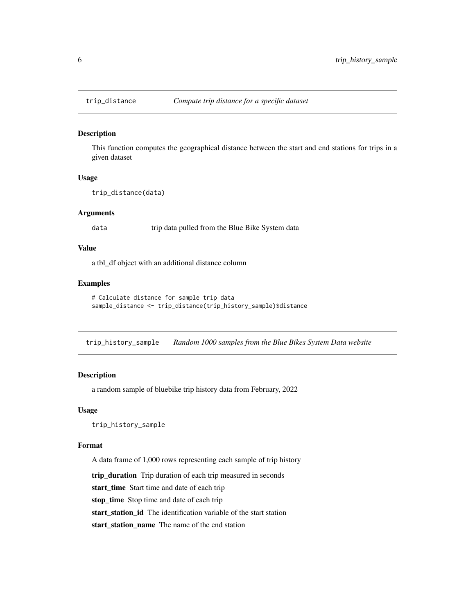#### Description

This function computes the geographical distance between the start and end stations for trips in a given dataset

#### Usage

```
trip_distance(data)
```
#### Arguments

data trip data pulled from the Blue Bike System data

#### Value

a tbl\_df object with an additional distance column

#### Examples

```
# Calculate distance for sample trip data
sample_distance <- trip_distance(trip_history_sample)$distance
```
trip\_history\_sample *Random 1000 samples from the Blue Bikes System Data website*

#### Description

a random sample of bluebike trip history data from February, 2022

#### Usage

trip\_history\_sample

#### Format

A data frame of 1,000 rows representing each sample of trip history

trip\_duration Trip duration of each trip measured in seconds

start\_time Start time and date of each trip

stop\_time Stop time and date of each trip

start\_station\_id The identification variable of the start station

start\_station\_name The name of the end station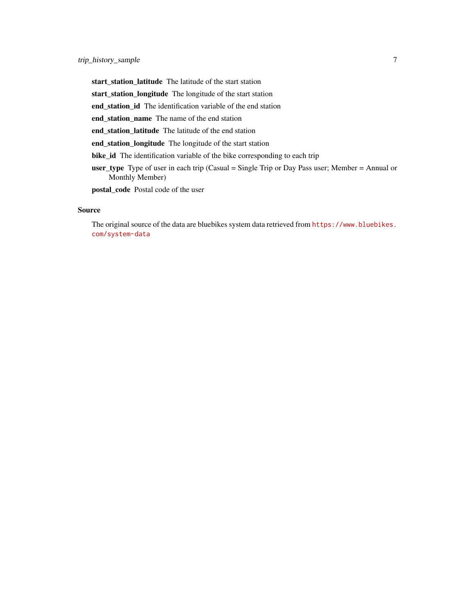start\_station\_latitude The latitude of the start station

start\_station\_longitude The longitude of the start station

end\_station\_id The identification variable of the end station

end\_station\_name The name of the end station

end\_station\_latitude The latitude of the end station

end\_station\_longitude The longitude of the start station

bike\_id The identification variable of the bike corresponding to each trip

user\_type Type of user in each trip (Casual = Single Trip or Day Pass user; Member = Annual or Monthly Member)

postal\_code Postal code of the user

#### Source

The original source of the data are bluebikes system data retrieved from [https://www.bluebikes.](https://www.bluebikes.com/system-data) [com/system-data](https://www.bluebikes.com/system-data)